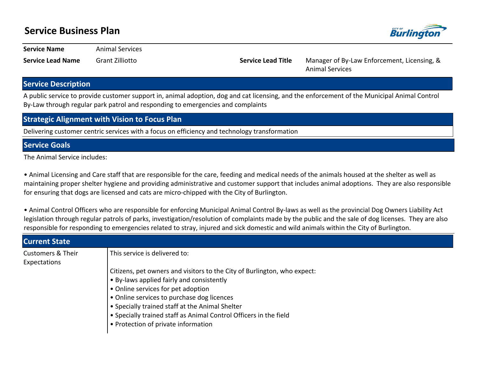## **Service Business Plan**



**Service Name Animal Services** 

**Service Lead Name** Grant Zilliotto **Service Lead Title** Manager of By-Law Enforcement, Licensing, & Animal Services

## **Service Description**

A public service to provide customer support in, animal adoption, dog and cat licensing, and the enforcement of the Municipal Animal Control By-Law through regular park patrol and responding to emergencies and complaints

## **Strategic Alignment with Vision to Focus Plan**

Delivering customer centric services with a focus on efficiency and technology transformation

## **Service Goals**

The Animal Service includes:

• Animal Licensing and Care staff that are responsible for the care, feeding and medical needs of the animals housed at the shelter as well as maintaining proper shelter hygiene and providing administrative and customer support that includes animal adoptions. They are also responsible for ensuring that dogs are licensed and cats are micro-chipped with the City of Burlington.

• Animal Control Officers who are responsible for enforcing Municipal Animal Control By-laws as well as the provincial Dog Owners Liability Act legislation through regular patrols of parks, investigation/resolution of complaints made by the public and the sale of dog licenses. They are also responsible for responding to emergencies related to stray, injured and sick domestic and wild animals within the City of Burlington.

| <b>Current State</b>                         |                                                                                                                                                                                                                                                                                                                                                                          |
|----------------------------------------------|--------------------------------------------------------------------------------------------------------------------------------------------------------------------------------------------------------------------------------------------------------------------------------------------------------------------------------------------------------------------------|
| <b>Customers &amp; Their</b><br>Expectations | This service is delivered to:                                                                                                                                                                                                                                                                                                                                            |
|                                              | Citizens, pet owners and visitors to the City of Burlington, who expect:<br>• By-laws applied fairly and consistently<br>• Online services for pet adoption<br>• Online services to purchase dog licences<br>• Specially trained staff at the Animal Shelter<br>• Specially trained staff as Animal Control Officers in the field<br>• Protection of private information |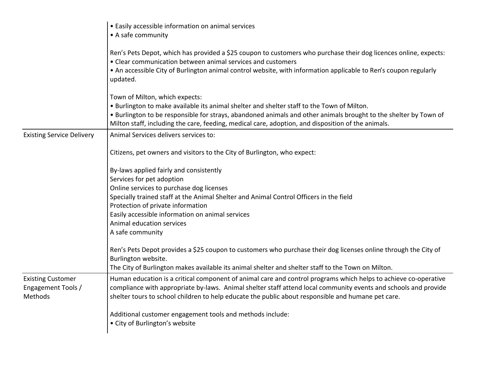|                                                           | • Easily accessible information on animal services<br>• A safe community                                                                                                                                                                                                                                                                               |
|-----------------------------------------------------------|--------------------------------------------------------------------------------------------------------------------------------------------------------------------------------------------------------------------------------------------------------------------------------------------------------------------------------------------------------|
|                                                           | Ren's Pets Depot, which has provided a \$25 coupon to customers who purchase their dog licences online, expects:<br>• Clear communication between animal services and customers<br>• An accessible City of Burlington animal control website, with information applicable to Ren's coupon regularly<br>updated.                                        |
|                                                           | Town of Milton, which expects:<br>. Burlington to make available its animal shelter and shelter staff to the Town of Milton.<br>• Burlington to be responsible for strays, abandoned animals and other animals brought to the shelter by Town of<br>Milton staff, including the care, feeding, medical care, adoption, and disposition of the animals. |
| <b>Existing Service Delivery</b>                          | Animal Services delivers services to:                                                                                                                                                                                                                                                                                                                  |
|                                                           | Citizens, pet owners and visitors to the City of Burlington, who expect:                                                                                                                                                                                                                                                                               |
|                                                           | By-laws applied fairly and consistently                                                                                                                                                                                                                                                                                                                |
|                                                           | Services for pet adoption                                                                                                                                                                                                                                                                                                                              |
|                                                           | Online services to purchase dog licenses                                                                                                                                                                                                                                                                                                               |
|                                                           | Specially trained staff at the Animal Shelter and Animal Control Officers in the field                                                                                                                                                                                                                                                                 |
|                                                           | Protection of private information                                                                                                                                                                                                                                                                                                                      |
|                                                           | Easily accessible information on animal services                                                                                                                                                                                                                                                                                                       |
|                                                           | Animal education services                                                                                                                                                                                                                                                                                                                              |
|                                                           | A safe community                                                                                                                                                                                                                                                                                                                                       |
|                                                           | Ren's Pets Depot provides a \$25 coupon to customers who purchase their dog licenses online through the City of<br>Burlington website.                                                                                                                                                                                                                 |
|                                                           | The City of Burlington makes available its animal shelter and shelter staff to the Town on Milton.                                                                                                                                                                                                                                                     |
| <b>Existing Customer</b><br>Engagement Tools /<br>Methods | Human education is a critical component of animal care and control programs which helps to achieve co-operative<br>compliance with appropriate by-laws. Animal shelter staff attend local community events and schools and provide<br>shelter tours to school children to help educate the public about responsible and humane pet care.               |
|                                                           | Additional customer engagement tools and methods include:<br>• City of Burlington's website                                                                                                                                                                                                                                                            |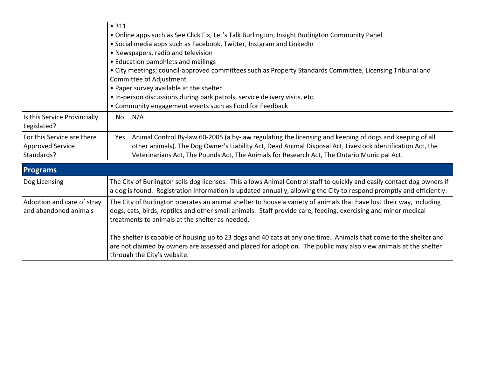|                                                                     | • 311<br>• Online apps such as See Click Fix, Let's Talk Burlington, Insight Burlington Community Panel<br>• Social media apps such as Facebook, Twitter, Instgram and LinkedIn<br>• Newspapers, radio and television<br>• Education pamphlets and mailings<br>• City meetings; council-approved committees such as Property Standards Committee, Licensing Tribunal and<br>Committee of Adjustment<br>• Paper survey available at the shelter<br>. In-person discussions during park patrols, service delivery visits, etc.<br>• Community engagement events such as Food for Feedback |  |
|---------------------------------------------------------------------|-----------------------------------------------------------------------------------------------------------------------------------------------------------------------------------------------------------------------------------------------------------------------------------------------------------------------------------------------------------------------------------------------------------------------------------------------------------------------------------------------------------------------------------------------------------------------------------------|--|
| Is this Service Provincially<br>Legislated?                         | N/A<br>No                                                                                                                                                                                                                                                                                                                                                                                                                                                                                                                                                                               |  |
| For this Service are there<br><b>Approved Service</b><br>Standards? | Animal Control By-law 60-2005 (a by-law regulating the licensing and keeping of dogs and keeping of all<br>Yes<br>other animals). The Dog Owner's Liability Act, Dead Animal Disposal Act, Livestock Identification Act, the<br>Veterinarians Act, The Pounds Act, The Animals for Research Act, The Ontario Municipal Act.                                                                                                                                                                                                                                                             |  |
| <b>Programs</b>                                                     |                                                                                                                                                                                                                                                                                                                                                                                                                                                                                                                                                                                         |  |
| Dog Licensing                                                       | The City of Burlington sells dog licenses. This allows Animal Control staff to quickly and easily contact dog owners if<br>a dog is found. Registration information is updated annually, allowing the City to respond promptly and efficiently.                                                                                                                                                                                                                                                                                                                                         |  |
| Adoption and care of stray<br>and abandoned animals                 | The City of Burlington operates an animal shelter to house a variety of animals that have lost their way, including<br>dogs, cats, birds, reptiles and other small animals. Staff provide care, feeding, exercising and minor medical<br>treatments to animals at the shelter as needed.                                                                                                                                                                                                                                                                                                |  |
|                                                                     | The shelter is capable of housing up to 23 dogs and 40 cats at any one time. Animals that come to the shelter and<br>are not claimed by owners are assessed and placed for adoption. The public may also view animals at the shelter<br>through the City's website.                                                                                                                                                                                                                                                                                                                     |  |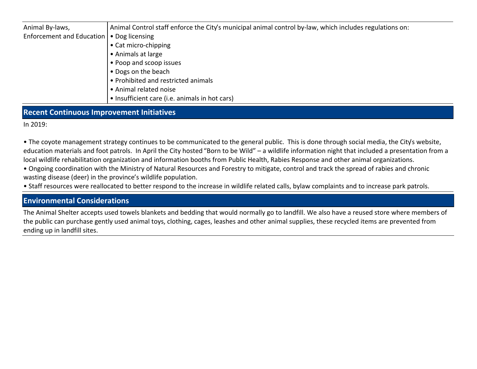| Animal By-laws,                             | Animal Control staff enforce the City's municipal animal control by-law, which includes regulations on: |
|---------------------------------------------|---------------------------------------------------------------------------------------------------------|
| Enforcement and Education   • Dog licensing |                                                                                                         |
|                                             | • Cat micro-chipping                                                                                    |
|                                             | • Animals at large                                                                                      |
|                                             | • Poop and scoop issues                                                                                 |
|                                             | • Dogs on the beach                                                                                     |
|                                             | • Prohibited and restricted animals                                                                     |
|                                             | • Animal related noise                                                                                  |
|                                             | • Insufficient care (i.e. animals in hot cars)                                                          |
|                                             |                                                                                                         |

## **Recent Continuous Improvement Initiatives**

In 2019:

• The coyote management strategy continues to be communicated to the general public. This is done through social media, the City's website, education materials and foot patrols. In April the City hosted "Born to be Wild" – a wildlife information night that included a presentation from a local wildlife rehabilitation organization and information booths from Public Health, Rabies Response and other animal organizations.

• Ongoing coordination with the Ministry of Natural Resources and Forestry to mitigate, control and track the spread of rabies and chronic wasting disease (deer) in the province's wildlife population.

• Staff resources were reallocated to better respond to the increase in wildlife related calls, bylaw complaints and to increase park patrols.

## **Environmental Considerations**

The Animal Shelter accepts used towels blankets and bedding that would normally go to landfill. We also have a reused store where members of the public can purchase gently used animal toys, clothing, cages, leashes and other animal supplies, these recycled items are prevented from ending up in landfill sites.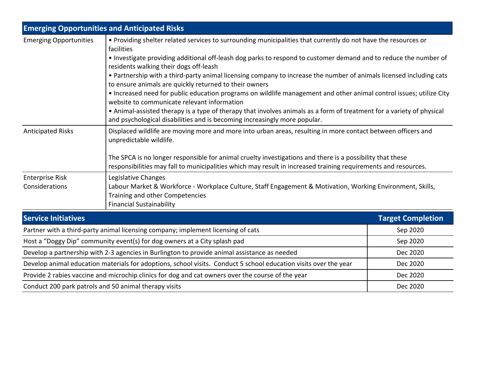|                                                                                                                  | <b>Emerging Opportunities and Anticipated Risks</b>                                                                                                                                                                                                                                                                                                                                                                                                                                                                                                                                                                                                                                                                                                                                                                                                     |                          |  |  |
|------------------------------------------------------------------------------------------------------------------|---------------------------------------------------------------------------------------------------------------------------------------------------------------------------------------------------------------------------------------------------------------------------------------------------------------------------------------------------------------------------------------------------------------------------------------------------------------------------------------------------------------------------------------------------------------------------------------------------------------------------------------------------------------------------------------------------------------------------------------------------------------------------------------------------------------------------------------------------------|--------------------------|--|--|
| <b>Emerging Opportunities</b>                                                                                    | • Providing shelter related services to surrounding municipalities that currently do not have the resources or<br>facilities<br>• Investigate providing additional off-leash dog parks to respond to customer demand and to reduce the number of<br>residents walking their dogs off-leash<br>• Partnership with a third-party animal licensing company to increase the number of animals licensed including cats<br>to ensure animals are quickly returned to their owners<br>• Increased need for public education programs on wildlife management and other animal control issues; utilize City<br>website to communicate relevant information<br>• Animal-assisted therapy is a type of therapy that involves animals as a form of treatment for a variety of physical<br>and psychological disabilities and is becoming increasingly more popular. |                          |  |  |
| <b>Anticipated Risks</b>                                                                                         | Displaced wildlife are moving more and more into urban areas, resulting in more contact between officers and<br>unpredictable wildlife.<br>The SPCA is no longer responsible for animal cruelty investigations and there is a possibility that these<br>responsibilities may fall to municipalities which may result in increased training requirements and resources.                                                                                                                                                                                                                                                                                                                                                                                                                                                                                  |                          |  |  |
| <b>Enterprise Risk</b><br>Considerations                                                                         | Legislative Changes<br>Labour Market & Workforce - Workplace Culture, Staff Engagement & Motivation, Working Environment, Skills,<br>Training and other Competencies<br><b>Financial Sustainability</b>                                                                                                                                                                                                                                                                                                                                                                                                                                                                                                                                                                                                                                                 |                          |  |  |
| <b>Service Initiatives</b>                                                                                       |                                                                                                                                                                                                                                                                                                                                                                                                                                                                                                                                                                                                                                                                                                                                                                                                                                                         | <b>Target Completion</b> |  |  |
|                                                                                                                  | Partner with a third-party animal licensing company; implement licensing of cats                                                                                                                                                                                                                                                                                                                                                                                                                                                                                                                                                                                                                                                                                                                                                                        | Sep 2020                 |  |  |
|                                                                                                                  | Host a "Doggy Dip" community event(s) for dog owners at a City splash pad                                                                                                                                                                                                                                                                                                                                                                                                                                                                                                                                                                                                                                                                                                                                                                               | Sep 2020                 |  |  |
| Develop a partnership with 2-3 agencies in Burlington to provide animal assistance as needed                     |                                                                                                                                                                                                                                                                                                                                                                                                                                                                                                                                                                                                                                                                                                                                                                                                                                                         | Dec 2020                 |  |  |
| Develop animal education materials for adoptions, school visits. Conduct 5 school education visits over the year |                                                                                                                                                                                                                                                                                                                                                                                                                                                                                                                                                                                                                                                                                                                                                                                                                                                         | Dec 2020                 |  |  |
| Provide 2 rabies vaccine and microchip clinics for dog and cat owners over the course of the year                |                                                                                                                                                                                                                                                                                                                                                                                                                                                                                                                                                                                                                                                                                                                                                                                                                                                         | Dec 2020                 |  |  |
| Conduct 200 park patrols and 50 animal therapy visits                                                            |                                                                                                                                                                                                                                                                                                                                                                                                                                                                                                                                                                                                                                                                                                                                                                                                                                                         | Dec 2020                 |  |  |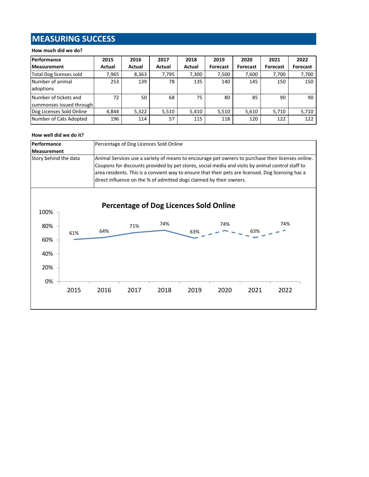# **MEASURING SUCCESS**

### **How much did we do?**

| Performance                                       | 2015   | 2016   | 2017   | 2018   | 2019     | 2020     | 2021     | 2022            |
|---------------------------------------------------|--------|--------|--------|--------|----------|----------|----------|-----------------|
| <b>Measurement</b>                                | Actual | Actual | Actual | Actual | Forecast | Forecast | Forecast | <b>Forecast</b> |
| Total Dog licenses sold                           | 7,965  | 8,363  | 7,795  | 7,300  | 7,500    | 7,600    | 7,700    | 7,700           |
| Number of animal<br>adoptions                     | 253    | 139    | 78     | 135    | 140      | 145      | 150      | 150             |
| Number of tickets and<br>summonses issued through | 72     | 50     | 68     | 75     | 80       | 85       | 90       | 90              |
| Dog Licenses Sold Online                          | 4.844  | 5,322  | 5,510  | 5,410  | 5,510    | 5,610    | 5,710    | 5,710           |
| Number of Cats Adopted                            | 196    | 114    | 57     | 115    | 118      | 120      | 122      | 122             |

#### **How well did we do it?**

| Performance           | Percentage of Dog Licences Sold Online                                                                                                                                                                                                                                                                                                                                             |
|-----------------------|------------------------------------------------------------------------------------------------------------------------------------------------------------------------------------------------------------------------------------------------------------------------------------------------------------------------------------------------------------------------------------|
| <b>Measurement</b>    |                                                                                                                                                                                                                                                                                                                                                                                    |
| Story behind the data | Animal Services use a variety of means to encourage pet owners to purchase their licenses online.<br>Coupons for discounts provided by pet stores, social media and visits by animal control staff to<br>area residents. This is a convient way to ensure that their pets are licensed. Dog licensing has a<br>direct influence on the % of admitted dogs claimed by their owners. |

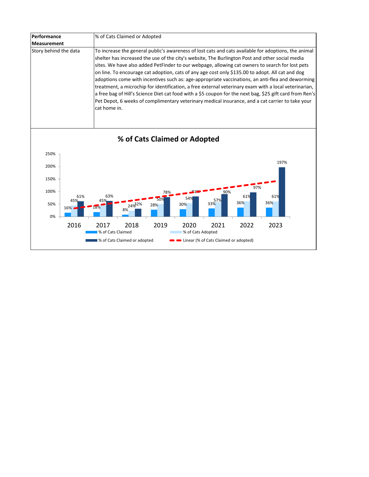| Performance           | % of Cats Claimed or Adopted                                                                                                                                                                                                                                                                                                                                                                                                                                                                                                                                                                                                                                                                                                                                                                                                                                |
|-----------------------|-------------------------------------------------------------------------------------------------------------------------------------------------------------------------------------------------------------------------------------------------------------------------------------------------------------------------------------------------------------------------------------------------------------------------------------------------------------------------------------------------------------------------------------------------------------------------------------------------------------------------------------------------------------------------------------------------------------------------------------------------------------------------------------------------------------------------------------------------------------|
| <b>Measurement</b>    |                                                                                                                                                                                                                                                                                                                                                                                                                                                                                                                                                                                                                                                                                                                                                                                                                                                             |
| Story behind the data | To increase the general public's awareness of lost cats and cats available for adoptions, the animal<br>shelter has increased the use of the city's website, The Burlington Post and other social media<br>sites. We have also added PetFinder to our webpage, allowing cat owners to search for lost pets<br>on line. To encourage cat adoption, cats of any age cost only \$135.00 to adopt. All cat and dog<br>adoptions come with incentives such as: age-appropriate vaccinations, an anti-flea and deworming<br>treatment, a microchip for identification, a free external veterinary exam with a local veterinarian,<br>a free bag of Hill's Science Diet cat food with a \$5 coupon for the next bag, \$25 gift card from Ren's<br>Pet Depot, 6 weeks of complimentary veterinary medical insurance, and a cat carrier to take your<br>cat home in. |



# **% of Cats Claimed or Adopted**